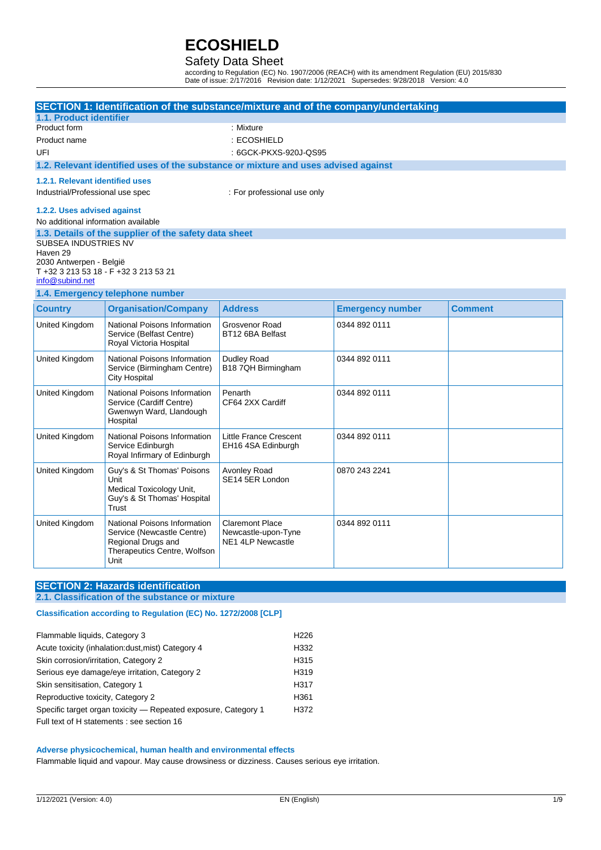### Safety Data Sheet

according to Regulation (EC) No. 1907/2006 (REACH) with its amendment Regulation (EU) 2015/830 Date of issue: 2/17/2016 Revision date: 1/12/2021 Supersedes: 9/28/2018 Version: 4.0

|                                         |                                                          | SECTION 1: Identification of the substance/mixture and of the company/undertaking  |                         |                |
|-----------------------------------------|----------------------------------------------------------|------------------------------------------------------------------------------------|-------------------------|----------------|
| 1.1. Product identifier                 |                                                          |                                                                                    |                         |                |
| Product form                            |                                                          | : Mixture                                                                          |                         |                |
| Product name                            |                                                          | : ECOSHIELD                                                                        |                         |                |
| UFI                                     |                                                          | : 6GCK-PKXS-920J-QS95                                                              |                         |                |
|                                         |                                                          | 1.2. Relevant identified uses of the substance or mixture and uses advised against |                         |                |
| 1.2.1. Relevant identified uses         |                                                          |                                                                                    |                         |                |
| Industrial/Professional use spec        |                                                          | : For professional use only                                                        |                         |                |
| 1.2.2. Uses advised against             |                                                          |                                                                                    |                         |                |
| No additional information available     |                                                          |                                                                                    |                         |                |
|                                         | 1.3. Details of the supplier of the safety data sheet    |                                                                                    |                         |                |
| <b>SUBSEA INDUSTRIES NV</b><br>Haven 29 |                                                          |                                                                                    |                         |                |
| 2030 Antwerpen - België                 |                                                          |                                                                                    |                         |                |
|                                         | T +32 3 213 53 18 - F +32 3 213 53 21                    |                                                                                    |                         |                |
| info@subind.net                         |                                                          |                                                                                    |                         |                |
|                                         | 1.4. Emergency telephone number                          |                                                                                    |                         |                |
| <b>Country</b>                          | <b>Organisation/Company</b>                              | <b>Address</b>                                                                     | <b>Emergency number</b> | <b>Comment</b> |
| United Kingdom                          | National Poisons Information<br>Service (Belfast Centre) | Grosvenor Road<br>BT12 6BA Belfast                                                 | 0344 892 0111           |                |
|                                         | Royal Victoria Hospital                                  |                                                                                    |                         |                |
| United Kingdom                          | National Poisons Information                             | Dudley Road<br>B18 7QH Birmingham                                                  | 0344 892 0111           |                |
|                                         | Service (Birmingham Centre)<br><b>City Hospital</b>      |                                                                                    |                         |                |
| United Kingdom                          | National Poisons Information                             | Penarth                                                                            | 0344 892 0111           |                |
|                                         | Service (Cardiff Centre)<br>Gwenwyn Ward, Llandough      | CF64 2XX Cardiff                                                                   |                         |                |
|                                         | Hospital                                                 |                                                                                    |                         |                |
| United Kingdom                          | National Poisons Information                             | <b>Little France Crescent</b>                                                      | 0344 892 0111           |                |
|                                         | Service Edinburgh<br>Royal Infirmary of Edinburgh        | EH16 4SA Edinburgh                                                                 |                         |                |
| United Kingdom                          | Guy's & St Thomas' Poisons                               | Avonley Road                                                                       | 0870 243 2241           |                |
|                                         | Unit                                                     | SE14 5ER London                                                                    |                         |                |
|                                         | Medical Toxicology Unit,<br>Guy's & St Thomas' Hospital  |                                                                                    |                         |                |
|                                         | Trust                                                    |                                                                                    |                         |                |
| United Kingdom                          | National Poisons Information                             | <b>Claremont Place</b>                                                             | 0344 892 0111           |                |
|                                         | Service (Newcastle Centre)                               | Newcastle-upon-Tyne                                                                |                         |                |
|                                         | Regional Drugs and<br>Therapeutics Centre, Wolfson       | NE1 4LP Newcastle                                                                  |                         |                |
|                                         | Unit                                                     |                                                                                    |                         |                |

## **SECTION 2: Hazards identification**

### **2.1. Classification of the substance or mixture**

### **Classification according to Regulation (EC) No. 1272/2008 [CLP]**

| Flammable liquids, Category 3                                  | H <sub>226</sub> |
|----------------------------------------------------------------|------------------|
| Acute toxicity (inhalation:dust, mist) Category 4              | H332             |
| Skin corrosion/irritation, Category 2                          | H <sub>315</sub> |
| Serious eye damage/eye irritation, Category 2                  | H <sub>319</sub> |
| Skin sensitisation, Category 1                                 | H317             |
| Reproductive toxicity, Category 2                              | H <sub>361</sub> |
| Specific target organ toxicity – Repeated exposure, Category 1 | H372             |
| Full text of H statements : see section 16                     |                  |

### **Adverse physicochemical, human health and environmental effects**

Flammable liquid and vapour. May cause drowsiness or dizziness. Causes serious eye irritation.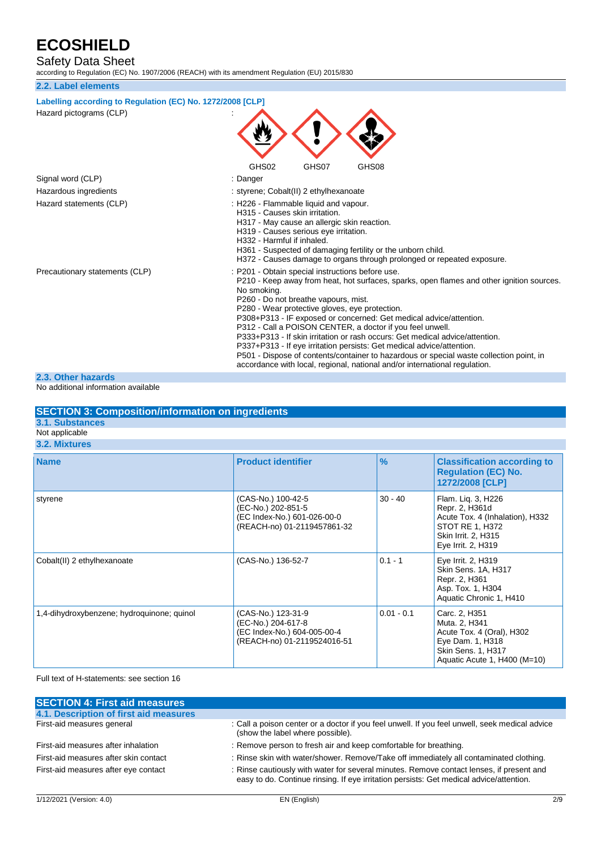Safety Data Sheet

according to Regulation (EC) No. 1907/2006 (REACH) with its amendment Regulation (EU) 2015/830

| according to Regulation (EC) No. 1907/2006 (REACH) with its amendment Regulation (EU) 2015/830 |                                                                                                                                                                                                                                                                                                                                                                                                                                                                                                                                                                                                                                                                                                                             |  |  |
|------------------------------------------------------------------------------------------------|-----------------------------------------------------------------------------------------------------------------------------------------------------------------------------------------------------------------------------------------------------------------------------------------------------------------------------------------------------------------------------------------------------------------------------------------------------------------------------------------------------------------------------------------------------------------------------------------------------------------------------------------------------------------------------------------------------------------------------|--|--|
| 2.2. Label elements                                                                            |                                                                                                                                                                                                                                                                                                                                                                                                                                                                                                                                                                                                                                                                                                                             |  |  |
| Labelling according to Regulation (EC) No. 1272/2008 [CLP]<br>Hazard pictograms (CLP)          |                                                                                                                                                                                                                                                                                                                                                                                                                                                                                                                                                                                                                                                                                                                             |  |  |
|                                                                                                | GHS02<br>GHS07<br>GHS08                                                                                                                                                                                                                                                                                                                                                                                                                                                                                                                                                                                                                                                                                                     |  |  |
| Signal word (CLP)                                                                              | : Danger                                                                                                                                                                                                                                                                                                                                                                                                                                                                                                                                                                                                                                                                                                                    |  |  |
| Hazardous ingredients                                                                          | : styrene; Cobalt(II) 2 ethylhexanoate                                                                                                                                                                                                                                                                                                                                                                                                                                                                                                                                                                                                                                                                                      |  |  |
| Hazard statements (CLP)                                                                        | : H226 - Flammable liquid and vapour.<br>H315 - Causes skin irritation.<br>H317 - May cause an allergic skin reaction.<br>H319 - Causes serious eye irritation.<br>H332 - Harmful if inhaled.<br>H361 - Suspected of damaging fertility or the unborn child.<br>H372 - Causes damage to organs through prolonged or repeated exposure.                                                                                                                                                                                                                                                                                                                                                                                      |  |  |
| Precautionary statements (CLP)                                                                 | : P201 - Obtain special instructions before use.<br>P210 - Keep away from heat, hot surfaces, sparks, open flames and other ignition sources.<br>No smoking.<br>P260 - Do not breathe vapours, mist.<br>P280 - Wear protective gloves, eye protection.<br>P308+P313 - IF exposed or concerned: Get medical advice/attention.<br>P312 - Call a POISON CENTER, a doctor if you feel unwell.<br>P333+P313 - If skin irritation or rash occurs: Get medical advice/attention.<br>P337+P313 - If eye irritation persists: Get medical advice/attention.<br>P501 - Dispose of contents/container to hazardous or special waste collection point, in<br>accordance with local, regional, national and/or international regulation. |  |  |
| 2.3. Other hazards                                                                             |                                                                                                                                                                                                                                                                                                                                                                                                                                                                                                                                                                                                                                                                                                                             |  |  |
| No additional information available                                                            |                                                                                                                                                                                                                                                                                                                                                                                                                                                                                                                                                                                                                                                                                                                             |  |  |

### **SECTION 3: Composition/information on ingredients**

**3.1. Substances**

#### Not applicable **3.2. Mixtures**

| <b>Name</b>                                | <b>Product identifier</b>                                                                              | $\frac{9}{6}$ | <b>Classification according to</b><br><b>Regulation (EC) No.</b><br>1272/2008 [CLP]                                                     |
|--------------------------------------------|--------------------------------------------------------------------------------------------------------|---------------|-----------------------------------------------------------------------------------------------------------------------------------------|
| styrene                                    | (CAS-No.) 100-42-5<br>(EC-No.) 202-851-5<br>(EC Index-No.) 601-026-00-0<br>(REACH-no) 01-2119457861-32 | $30 - 40$     | Flam. Lig. 3, H226<br>Repr. 2, H361d<br>Acute Tox. 4 (Inhalation), H332<br>STOT RE 1, H372<br>Skin Irrit. 2, H315<br>Eye Irrit. 2, H319 |
| Cobalt(II) 2 ethylhexanoate                | (CAS-No.) 136-52-7                                                                                     | $0.1 - 1$     | Eye Irrit. 2, H319<br>Skin Sens. 1A, H317<br>Repr. 2, H361<br>Asp. Tox. 1, H304<br>Aquatic Chronic 1, H410                              |
| 1,4-dihydroxybenzene; hydroquinone; quinol | (CAS-No.) 123-31-9<br>(EC-No.) 204-617-8<br>(EC Index-No.) 604-005-00-4<br>(REACH-no) 01-2119524016-51 | $0.01 - 0.1$  | Carc. 2, H351<br>Muta. 2, H341<br>Acute Tox. 4 (Oral), H302<br>Eye Dam. 1, H318<br>Skin Sens. 1, H317<br>Aquatic Acute 1, H400 (M=10)   |

### Full text of H-statements: see section 16

| <b>SECTION 4: First aid measures</b>   |                                                                                                                                                                                     |
|----------------------------------------|-------------------------------------------------------------------------------------------------------------------------------------------------------------------------------------|
| 4.1. Description of first aid measures |                                                                                                                                                                                     |
| First-aid measures general             | : Call a poison center or a doctor if you feel unwell. If you feel unwell, seek medical advice<br>(show the label where possible).                                                  |
| First-aid measures after inhalation    | : Remove person to fresh air and keep comfortable for breathing.                                                                                                                    |
| First-aid measures after skin contact  | : Rinse skin with water/shower. Remove/Take off immediately all contaminated clothing.                                                                                              |
| First-aid measures after eye contact   | : Rinse cautiously with water for several minutes. Remove contact lenses, if present and<br>easy to do. Continue rinsing. If eye irritation persists: Get medical advice/attention. |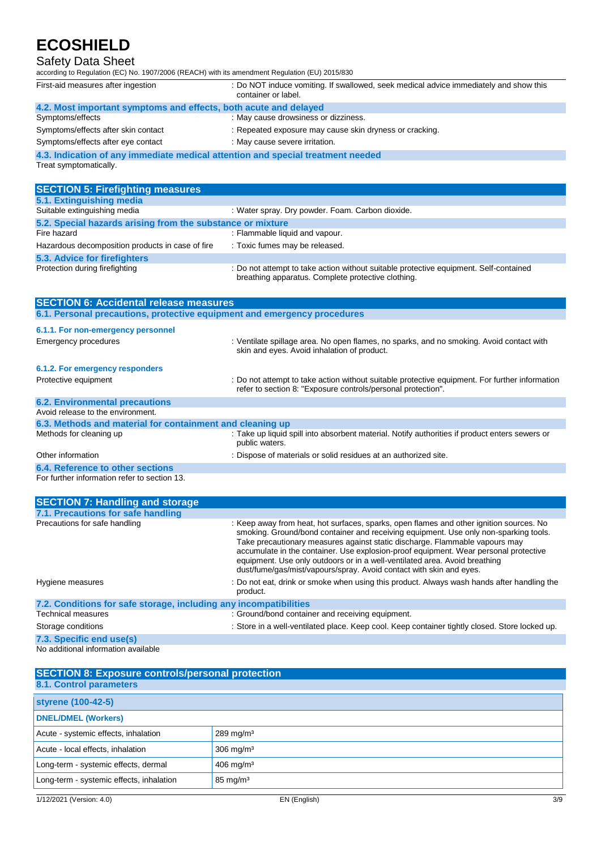## Safety Data Sheet

| according to Regulation (EC) No. 1907/2006 (REACH) with its amendment Regulation (EU) 2015/830            |                                                                                                                                             |
|-----------------------------------------------------------------------------------------------------------|---------------------------------------------------------------------------------------------------------------------------------------------|
| First-aid measures after ingestion                                                                        | : Do NOT induce vomiting. If swallowed, seek medical advice immediately and show this<br>container or label.                                |
| 4.2. Most important symptoms and effects, both acute and delayed                                          |                                                                                                                                             |
| Symptoms/effects                                                                                          | : May cause drowsiness or dizziness.                                                                                                        |
| Symptoms/effects after skin contact                                                                       | : Repeated exposure may cause skin dryness or cracking.                                                                                     |
| Symptoms/effects after eye contact                                                                        | : May cause severe irritation.                                                                                                              |
| 4.3. Indication of any immediate medical attention and special treatment needed<br>Treat symptomatically. |                                                                                                                                             |
| <b>SECTION 5: Firefighting measures</b>                                                                   |                                                                                                                                             |
| 5.1. Extinguishing media                                                                                  |                                                                                                                                             |
| Suitable extinguishing media                                                                              | : Water spray. Dry powder. Foam. Carbon dioxide.                                                                                            |
| 5.2. Special hazards arising from the substance or mixture                                                |                                                                                                                                             |
| Fire hazard                                                                                               | : Flammable liquid and vapour.                                                                                                              |
| Hazardous decomposition products in case of fire                                                          | : Toxic fumes may be released.                                                                                                              |
| 5.3. Advice for firefighters                                                                              |                                                                                                                                             |
| Protection during firefighting                                                                            | : Do not attempt to take action without suitable protective equipment. Self-contained<br>breathing apparatus. Complete protective clothing. |

| <b>SECTION 6: Accidental release measures</b>                            |                                                                                                                                                                |
|--------------------------------------------------------------------------|----------------------------------------------------------------------------------------------------------------------------------------------------------------|
| 6.1. Personal precautions, protective equipment and emergency procedures |                                                                                                                                                                |
| 6.1.1. For non-emergency personnel                                       |                                                                                                                                                                |
| Emergency procedures                                                     | : Ventilate spillage area. No open flames, no sparks, and no smoking. Avoid contact with<br>skin and eyes. Avoid inhalation of product.                        |
| 6.1.2. For emergency responders                                          |                                                                                                                                                                |
| Protective equipment                                                     | : Do not attempt to take action without suitable protective equipment. For further information<br>refer to section 8: "Exposure controls/personal protection". |
| <b>6.2. Environmental precautions</b>                                    |                                                                                                                                                                |
| Avoid release to the environment.                                        |                                                                                                                                                                |
| 6.3. Methods and material for containment and cleaning up                |                                                                                                                                                                |
| Methods for cleaning up                                                  | : Take up liquid spill into absorbent material. Notify authorities if product enters sewers or<br>public waters.                                               |
| Other information                                                        | : Dispose of materials or solid residues at an authorized site.                                                                                                |
| 6.4. Reference to other sections                                         |                                                                                                                                                                |
| For further information refer to section 13.                             |                                                                                                                                                                |

| <b>SECTION 7: Handling and storage</b>                            |                                                                                                                                                                                                                                                                                                                                                                                                                                                                                                             |
|-------------------------------------------------------------------|-------------------------------------------------------------------------------------------------------------------------------------------------------------------------------------------------------------------------------------------------------------------------------------------------------------------------------------------------------------------------------------------------------------------------------------------------------------------------------------------------------------|
| 7.1. Precautions for safe handling                                |                                                                                                                                                                                                                                                                                                                                                                                                                                                                                                             |
| Precautions for safe handling                                     | : Keep away from heat, hot surfaces, sparks, open flames and other ignition sources. No<br>smoking. Ground/bond container and receiving equipment. Use only non-sparking tools.<br>Take precautionary measures against static discharge. Flammable vapours may<br>accumulate in the container. Use explosion-proof equipment. Wear personal protective<br>equipment. Use only outdoors or in a well-ventilated area. Avoid breathing<br>dust/fume/gas/mist/vapours/spray. Avoid contact with skin and eyes. |
| Hygiene measures                                                  | : Do not eat, drink or smoke when using this product. Always wash hands after handling the<br>product.                                                                                                                                                                                                                                                                                                                                                                                                      |
| 7.2. Conditions for safe storage, including any incompatibilities |                                                                                                                                                                                                                                                                                                                                                                                                                                                                                                             |
| Technical measures                                                | : Ground/bond container and receiving equipment.                                                                                                                                                                                                                                                                                                                                                                                                                                                            |
| Storage conditions                                                | : Store in a well-ventilated place. Keep cool. Keep container tightly closed. Store locked up.                                                                                                                                                                                                                                                                                                                                                                                                              |
| 7.3. Specific end use(s)                                          |                                                                                                                                                                                                                                                                                                                                                                                                                                                                                                             |
| No additional information available                               |                                                                                                                                                                                                                                                                                                                                                                                                                                                                                                             |

| <b>SECTION 8: Exposure controls/personal protection</b><br>8.1. Control parameters |                         |
|------------------------------------------------------------------------------------|-------------------------|
| styrene (100-42-5)                                                                 |                         |
| <b>DNEL/DMEL (Workers)</b>                                                         |                         |
| Acute - systemic effects, inhalation                                               | $289$ mg/m <sup>3</sup> |
| Acute - local effects, inhalation                                                  | $306$ mg/m <sup>3</sup> |
| Long-term - systemic effects, dermal                                               | $406$ mg/m <sup>3</sup> |
| Long-term - systemic effects, inhalation                                           | $85 \text{ mg/m}^3$     |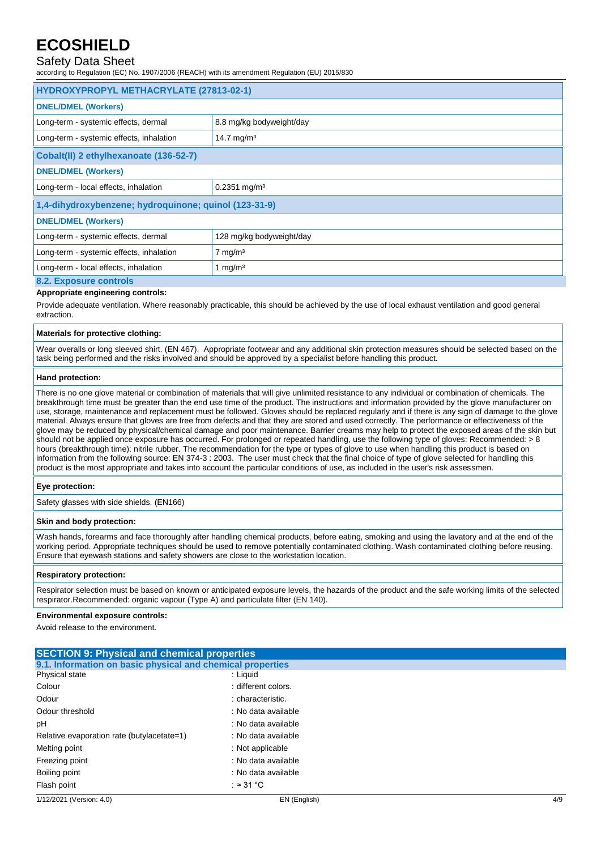## Safety Data Sheet

according to Regulation (EC) No. 1907/2006 (REACH) with its amendment Regulation (EU) 2015/830

| HYDROXYPROPYL METHACRYLATE (27813-02-1)               |                            |  |
|-------------------------------------------------------|----------------------------|--|
| <b>DNEL/DMEL (Workers)</b>                            |                            |  |
| Long-term - systemic effects, dermal                  | 8.8 mg/kg bodyweight/day   |  |
| Long-term - systemic effects, inhalation              | 14.7 mg/m <sup>3</sup>     |  |
| Cobalt(II) 2 ethylhexanoate (136-52-7)                |                            |  |
| <b>DNEL/DMEL (Workers)</b>                            |                            |  |
| Long-term - local effects, inhalation                 | $0.2351$ mg/m <sup>3</sup> |  |
| 1,4-dihydroxybenzene; hydroquinone; quinol (123-31-9) |                            |  |
| <b>DNEL/DMEL (Workers)</b>                            |                            |  |
| Long-term - systemic effects, dermal                  | 128 mg/kg bodyweight/day   |  |
| Long-term - systemic effects, inhalation              | $7 \text{ mg/m}^3$         |  |
| Long-term - local effects, inhalation                 | 1 mg/m <sup>3</sup>        |  |
| 8.2. Exposure controls                                |                            |  |

#### **Appropriate engineering controls:**

Provide adequate ventilation. Where reasonably practicable, this should be achieved by the use of local exhaust ventilation and good general extraction.

#### **Materials for protective clothing:**

Wear overalls or long sleeved shirt. (EN 467). Appropriate footwear and any additional skin protection measures should be selected based on the task being performed and the risks involved and should be approved by a specialist before handling this product.

#### **Hand protection:**

There is no one glove material or combination of materials that will give unlimited resistance to any individual or combination of chemicals. The breakthrough time must be greater than the end use time of the product. The instructions and information provided by the glove manufacturer on use, storage, maintenance and replacement must be followed. Gloves should be replaced regularly and if there is any sign of damage to the glove material. Always ensure that gloves are free from defects and that they are stored and used correctly. The performance or effectiveness of the glove may be reduced by physical/chemical damage and poor maintenance. Barrier creams may help to protect the exposed areas of the skin but should not be applied once exposure has occurred. For prolonged or repeated handling, use the following type of gloves: Recommended: > 8 hours (breakthrough time): nitrile rubber. The recommendation for the type or types of glove to use when handling this product is based on information from the following source: EN 374-3 : 2003. The user must check that the final choice of type of glove selected for handling this product is the most appropriate and takes into account the particular conditions of use, as included in the user's risk assessmen.

### **Eye protection:**

Safety glasses with side shields. (EN166)

#### **Skin and body protection:**

Wash hands, forearms and face thoroughly after handling chemical products, before eating, smoking and using the lavatory and at the end of the working period. Appropriate techniques should be used to remove potentially contaminated clothing. Wash contaminated clothing before reusing. Ensure that eyewash stations and safety showers are close to the workstation location.

#### **Respiratory protection:**

Respirator selection must be based on known or anticipated exposure levels, the hazards of the product and the safe working limits of the selected respirator.Recommended: organic vapour (Type A) and particulate filter (EN 140).

#### **Environmental exposure controls:**

Avoid release to the environment.

| <b>SECTION 9: Physical and chemical properties</b>         |                                            |     |
|------------------------------------------------------------|--------------------------------------------|-----|
| 9.1. Information on basic physical and chemical properties |                                            |     |
| Physical state                                             | : Liguid                                   |     |
| Colour                                                     | : different colors.                        |     |
| Odour                                                      | : characteristic.                          |     |
| Odour threshold                                            | : No data available                        |     |
| рH                                                         | : No data available<br>: No data available |     |
| Relative evaporation rate (butylacetate=1)                 |                                            |     |
| Melting point                                              | : Not applicable                           |     |
| Freezing point<br>Boiling point                            | : No data available                        |     |
|                                                            | : No data available                        |     |
| Flash point                                                | : ≈ 31 °C                                  |     |
| 1/12/2021 (Version: 4.0)                                   | EN (English)                               | 4/9 |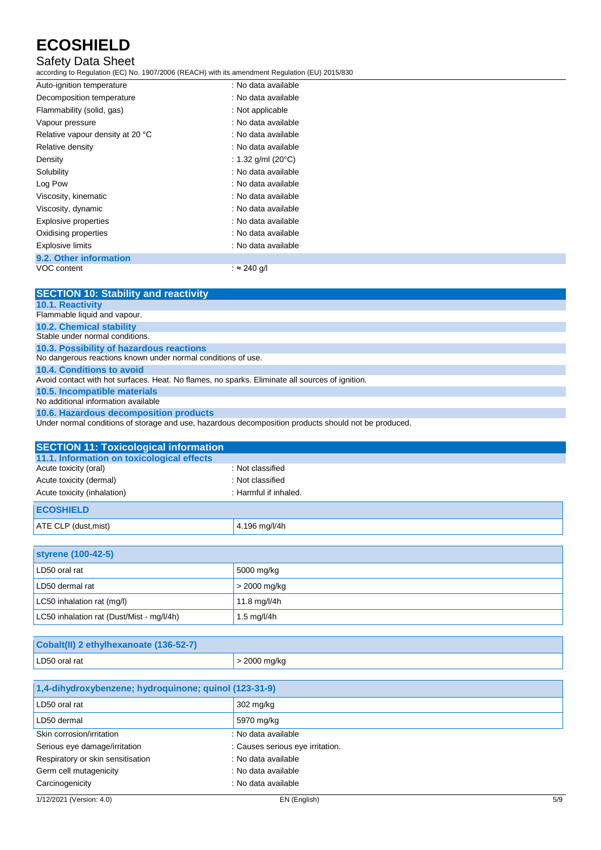## Safety Data Sheet

according to Regulation (EC) No. 1907/2006 (REACH) with its amendment Regulation (EU) 2015/830

| Auto-ignition temperature        | : No data available           |  |
|----------------------------------|-------------------------------|--|
| Decomposition temperature        | : No data available           |  |
| Flammability (solid, gas)        | : Not applicable              |  |
| Vapour pressure                  | : No data available           |  |
| Relative vapour density at 20 °C | : No data available           |  |
| Relative density                 | : No data available           |  |
| Density                          | : 1.32 g/ml (20 $^{\circ}$ C) |  |
| Solubility                       | : No data available           |  |
| Log Pow                          | : No data available           |  |
| Viscosity, kinematic             | : No data available           |  |
| Viscosity, dynamic               | : No data available           |  |
| <b>Explosive properties</b>      | : No data available           |  |
| Oxidising properties             | : No data available           |  |
| <b>Explosive limits</b>          | : No data available           |  |
| 9.2. Other information           |                               |  |
| VOC content                      | : $\approx$ 240 g/l           |  |

| <b>SECTION 10: Stability and reactivity</b>                                                     |
|-------------------------------------------------------------------------------------------------|
| <b>10.1. Reactivity</b>                                                                         |
| Flammable liquid and vapour.                                                                    |
| <b>10.2. Chemical stability</b>                                                                 |
| Stable under normal conditions.                                                                 |
| 10.3. Possibility of hazardous reactions                                                        |
| No dangerous reactions known under normal conditions of use.                                    |
| 10.4. Conditions to avoid                                                                       |
| Avoid contact with hot surfaces. Heat. No flames, no sparks. Eliminate all sources of ignition. |
| 10.5. Incompatible materials                                                                    |
| No additional information available                                                             |
| 10.6. Hazardous decomposition products                                                          |
|                                                                                                 |

Under normal conditions of storage and use, hazardous decomposition products should not be produced.

| <b>SECTION 11: Toxicological information</b> |                       |
|----------------------------------------------|-----------------------|
| 11.1. Information on toxicological effects   |                       |
| Acute toxicity (oral)                        | : Not classified      |
| Acute toxicity (dermal)                      | : Not classified      |
| Acute toxicity (inhalation)                  | : Harmful if inhaled. |
| <b>ECOSHIELD</b>                             |                       |
| ATE CLP (dust, mist)                         | 4.196 mg/l/4h         |

| <b>styrene (100-42-5)</b>                 |                |
|-------------------------------------------|----------------|
| LD50 oral rat                             | 5000 mg/kg     |
| LD50 dermal rat                           | $>$ 2000 mg/kg |
| LC50 inhalation rat (mg/l)                | 11.8 mg/l/4h   |
| LC50 inhalation rat (Dust/Mist - mg/l/4h) | 1.5 mg/l/4h    |

| Cobalt(II) 2 ethylhexanoate (136-52-7) |              |
|----------------------------------------|--------------|
| LD50 oral rat                          | > 2000 mg/kg |

| 1,4-dihydroxybenzene; hydroquinone; quinol (123-31-9) |                                  |
|-------------------------------------------------------|----------------------------------|
| LD50 oral rat                                         | 302 mg/kg                        |
| LD50 dermal                                           | 5970 mg/kg                       |
| Skin corrosion/irritation                             | : No data available              |
| Serious eye damage/irritation                         | : Causes serious eye irritation. |
| Respiratory or skin sensitisation                     | : No data available              |
| Germ cell mutagenicity                                | : No data available              |
| Carcinogenicity                                       | : No data available              |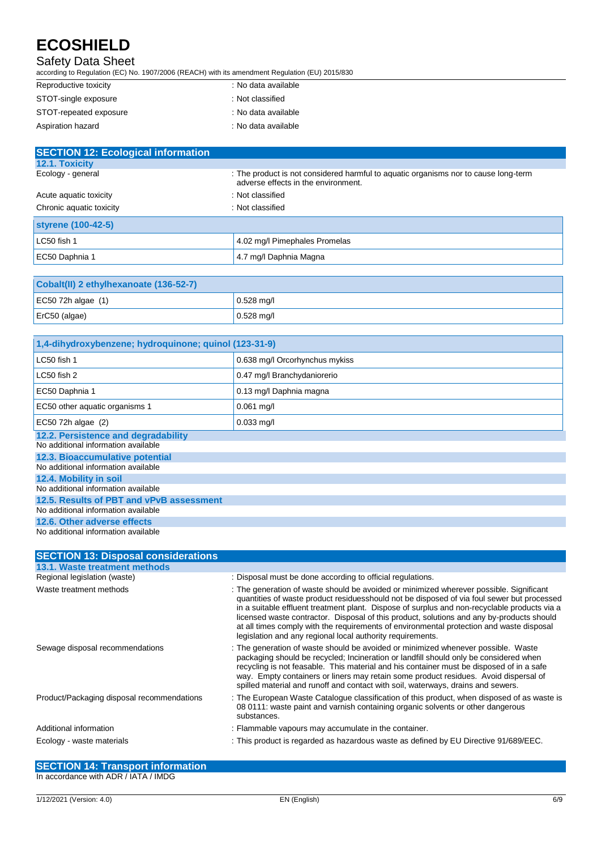## Safety Data Sheet

according to Regulation (EC) No. 1907/2006 (REACH) with its amendment Regulation (EU) 2015/830

| Reproductive toxicity  | : No data available |
|------------------------|---------------------|
| STOT-single exposure   | : Not classified    |
| STOT-repeated exposure | : No data available |
| Aspiration hazard      | : No data available |

| <b>SECTION 12: Ecological information</b> |                                                                                                                            |  |
|-------------------------------------------|----------------------------------------------------------------------------------------------------------------------------|--|
| <b>12.1. Toxicity</b>                     |                                                                                                                            |  |
| Ecology - general                         | : The product is not considered harmful to aquatic organisms nor to cause long-term<br>adverse effects in the environment. |  |
| Acute aguatic toxicity                    | : Not classified                                                                                                           |  |
| Chronic aquatic toxicity                  | : Not classified                                                                                                           |  |
| styrene (100-42-5)                        |                                                                                                                            |  |
| LC50 fish 1                               | 4.02 mg/l Pimephales Promelas                                                                                              |  |
| EC50 Daphnia 1                            | 4.7 mg/l Daphnia Magna                                                                                                     |  |

| Cobalt(II) 2 ethylhexanoate (136-52-7) |              |
|----------------------------------------|--------------|
| EC50 72h algae $(1)$                   | $0.528$ mg/l |
| $ETC50$ (algae)                        | $0.528$ mg/l |

| 1,4-dihydroxybenzene; hydroquinone; quinol (123-31-9)                      |                                |  |
|----------------------------------------------------------------------------|--------------------------------|--|
| LC50 fish 1                                                                | 0.638 mg/l Orcorhynchus mykiss |  |
| LC50 fish 2                                                                | 0.47 mg/l Branchydaniorerio    |  |
| EC50 Daphnia 1                                                             | 0.13 mg/l Daphnia magna        |  |
| EC50 other aquatic organisms 1                                             | $0.061$ mg/l                   |  |
| EC50 72h algae (2)                                                         | $0.033$ mg/l                   |  |
| 12.2. Persistence and degradability<br>No additional information available |                                |  |
| 12.3. Bioaccumulative potential<br>No additional information available     |                                |  |
| 12.4. Mobility in soil<br>No additional information available              |                                |  |
| 12.5. Results of PBT and vPvB assessment                                   |                                |  |
| No additional information available                                        |                                |  |
| 12.6. Other adverse effects                                                |                                |  |
| No additional information available                                        |                                |  |

| <b>SECTION 13: Disposal considerations</b> |                                                                                                                                                                                                                                                                                                                                                                                                                                                                                                                                              |
|--------------------------------------------|----------------------------------------------------------------------------------------------------------------------------------------------------------------------------------------------------------------------------------------------------------------------------------------------------------------------------------------------------------------------------------------------------------------------------------------------------------------------------------------------------------------------------------------------|
| 13.1. Waste treatment methods              |                                                                                                                                                                                                                                                                                                                                                                                                                                                                                                                                              |
| Regional legislation (waste)               | : Disposal must be done according to official regulations.                                                                                                                                                                                                                                                                                                                                                                                                                                                                                   |
| Waste treatment methods                    | : The generation of waste should be avoided or minimized wherever possible. Significant<br>quantities of waste product residuesshould not be disposed of via foul sewer but processed<br>in a suitable effluent treatment plant. Dispose of surplus and non-recyclable products via a<br>licensed waste contractor. Disposal of this product, solutions and any by-products should<br>at all times comply with the requirements of environmental protection and waste disposal<br>legislation and any regional local authority requirements. |
| Sewage disposal recommendations            | : The generation of waste should be avoided or minimized whenever possible. Waste<br>packaging should be recycled; Incineration or landfill should only be considered when<br>recycling is not feasable. This material and his container must be disposed of in a safe<br>way. Empty containers or liners may retain some product residues. Avoid dispersal of<br>spilled material and runoff and contact with soil, waterways, drains and sewers.                                                                                           |
| Product/Packaging disposal recommendations | : The European Waste Cataloque classification of this product, when disposed of as waste is<br>08 0111: waste paint and varnish containing organic solvents or other dangerous<br>substances.                                                                                                                                                                                                                                                                                                                                                |
| Additional information                     | : Flammable vapours may accumulate in the container.                                                                                                                                                                                                                                                                                                                                                                                                                                                                                         |
| Ecology - waste materials                  | : This product is regarded as hazardous waste as defined by EU Directive 91/689/EEC.                                                                                                                                                                                                                                                                                                                                                                                                                                                         |

**SECTION 14: Transport information** In accordance with ADR / IATA / IMDG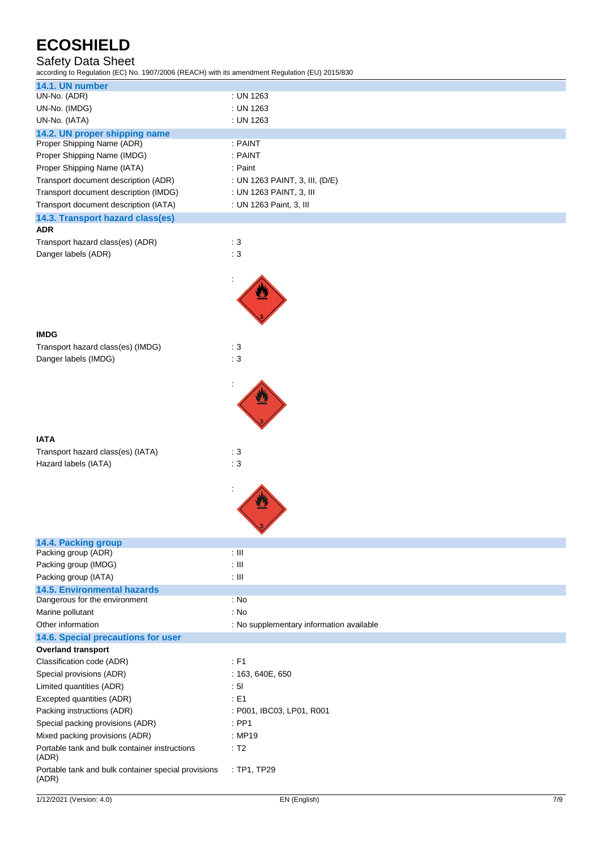## Safety Data Sheet

according to Regulation (EC) No. 1907/2006 (REACH) with its amendment Regulation (EU) 2015/830

| 14.1. UN number<br>UN-No. (ADR)                              | : UN 1263                                |
|--------------------------------------------------------------|------------------------------------------|
| UN-No. (IMDG)                                                | : UN 1263                                |
| UN-No. (IATA)                                                | : UN 1263                                |
| 14.2. UN proper shipping name                                |                                          |
| Proper Shipping Name (ADR)                                   | : PAINT                                  |
| Proper Shipping Name (IMDG)                                  | : PAINT                                  |
| Proper Shipping Name (IATA)                                  | : Paint                                  |
| Transport document description (ADR)                         | : UN 1263 PAINT, 3, III, (D/E)           |
|                                                              |                                          |
| Transport document description (IMDG)                        | : UN 1263 PAINT, 3, III                  |
| Transport document description (IATA)                        | : UN 1263 Paint, 3, III                  |
| 14.3. Transport hazard class(es)                             |                                          |
| <b>ADR</b>                                                   |                                          |
| Transport hazard class(es) (ADR)                             | $\therefore$ 3                           |
| Danger labels (ADR)                                          | $\therefore$ 3                           |
|                                                              |                                          |
|                                                              |                                          |
|                                                              |                                          |
|                                                              |                                          |
|                                                              |                                          |
|                                                              |                                          |
| <b>IMDG</b>                                                  |                                          |
| Transport hazard class(es) (IMDG)                            | : 3                                      |
| Danger labels (IMDG)                                         | : 3                                      |
|                                                              |                                          |
|                                                              |                                          |
|                                                              |                                          |
|                                                              |                                          |
|                                                              |                                          |
|                                                              |                                          |
| <b>IATA</b>                                                  |                                          |
| Transport hazard class(es) (IATA)                            | $\therefore$ 3                           |
| Hazard labels (IATA)                                         | : 3                                      |
|                                                              |                                          |
|                                                              |                                          |
|                                                              |                                          |
|                                                              |                                          |
|                                                              |                                          |
|                                                              |                                          |
|                                                              |                                          |
| 14.4. Packing group                                          |                                          |
| Packing group (ADR)                                          | $: \mathbb{H}$                           |
| Packing group (IMDG)                                         | $: \mathbb{H}$                           |
| Packing group (IATA)                                         | $: \mathbb{H}$                           |
| <b>14.5. Environmental hazards</b>                           |                                          |
| Dangerous for the environment                                | : No                                     |
| Marine pollutant                                             | : No                                     |
| Other information                                            | : No supplementary information available |
| 14.6. Special precautions for user                           |                                          |
| <b>Overland transport</b>                                    |                                          |
| Classification code (ADR)                                    | $:$ F1                                   |
| Special provisions (ADR)                                     | : 163, 640E, 650                         |
| Limited quantities (ADR)                                     | : 51                                     |
| Excepted quantities (ADR)                                    | : E1                                     |
| Packing instructions (ADR)                                   | : P001, IBC03, LP01, R001                |
| Special packing provisions (ADR)                             | $:$ PP1                                  |
| Mixed packing provisions (ADR)                               | : MP19                                   |
| Portable tank and bulk container instructions                | : T2                                     |
| (ADR)                                                        |                                          |
| Portable tank and bulk container special provisions<br>(ADR) | : TP1, TP29                              |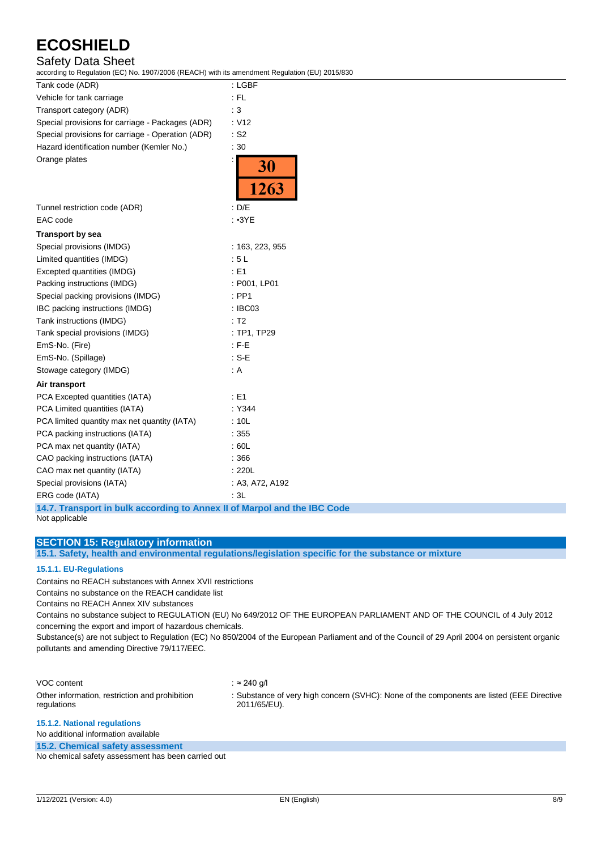## Safety Data Sheet

according to Regulation (EC) No. 1907/2006 (REACH) with its amendment Regulation (EU) 2015/830

| Tank code (ADR)                                   | : LGBF                              |
|---------------------------------------------------|-------------------------------------|
| Vehicle for tank carriage                         | $:$ FL                              |
| Transport category (ADR)                          | $\therefore$ 3                      |
| Special provisions for carriage - Packages (ADR)  | : V12                               |
| Special provisions for carriage - Operation (ADR) | $:$ S <sub>2</sub>                  |
| Hazard identification number (Kemler No.)         | :30                                 |
| Orange plates                                     | $\ddot{\cdot}$<br><b>30</b><br>1263 |
| Tunnel restriction code (ADR)                     | : D/E                               |
| EAC code                                          | : 3YE                               |
| <b>Transport by sea</b>                           |                                     |
| Special provisions (IMDG)                         | : 163, 223, 955                     |
| Limited quantities (IMDG)                         | :5L                                 |
| Excepted quantities (IMDG)                        | : E1                                |
| Packing instructions (IMDG)                       | : P001, LP01                        |
| Special packing provisions (IMDG)                 | $:$ PP1                             |
| IBC packing instructions (IMDG)                   | : IBC03                             |
| Tank instructions (IMDG)                          | : T2                                |
| Tank special provisions (IMDG)                    | : TP1, TP29                         |
| EmS-No. (Fire)                                    | $:$ F-E                             |
| EmS-No. (Spillage)                                | $: S-E$                             |
| Stowage category (IMDG)                           | : A                                 |
| Air transport                                     |                                     |
| PCA Excepted quantities (IATA)                    | E1                                  |
| PCA Limited quantities (IATA)                     | : Y344                              |
| PCA limited quantity max net quantity (IATA)      | : 10L                               |
| PCA packing instructions (IATA)                   | : 355                               |
| PCA max net quantity (IATA)                       | : 60L                               |
| CAO packing instructions (IATA)                   | : 366                               |
| CAO max net quantity (IATA)                       | : 220L                              |
| Special provisions (IATA)                         | : A3, A72, A192                     |
| ERG code (IATA)                                   | : 3L                                |

**14.7. Transport in bulk according to Annex II of Marpol and the IBC Code** Not applicable

### **SECTION 15: Regulatory information**

**15.1. Safety, health and environmental regulations/legislation specific for the substance or mixture**

### **15.1.1. EU-Regulations**

Contains no REACH substances with Annex XVII restrictions

Contains no substance on the REACH candidate list

Contains no REACH Annex XIV substances

Contains no substance subject to REGULATION (EU) No 649/2012 OF THE EUROPEAN PARLIAMENT AND OF THE COUNCIL of 4 July 2012 concerning the export and import of hazardous chemicals.

Substance(s) are not subject to Regulation (EC) No 850/2004 of the European Parliament and of the Council of 29 April 2004 on persistent organic pollutants and amending Directive 79/117/EEC.

| VOC content                                                   | : ≈ 240 a/l                                                                                               |
|---------------------------------------------------------------|-----------------------------------------------------------------------------------------------------------|
| Other information, restriction and prohibition<br>regulations | : Substance of very high concern (SVHC): None of the components are listed (EEE Directive<br>2011/65/EU). |
| 45.4.0. Methanal required and                                 |                                                                                                           |

#### **15.1.2. National regulations**

No additional information available

**15.2. Chemical safety assessment**

No chemical safety assessment has been carried out